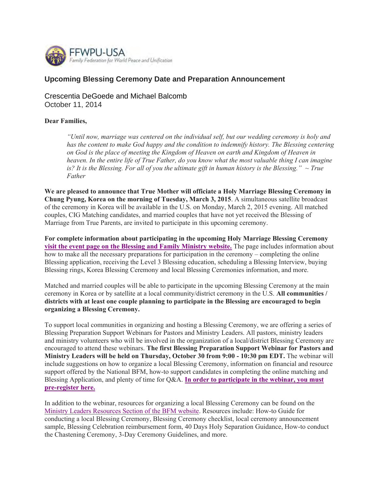

### **Upcoming Blessing Ceremony Date and Preparation Announcement**

Crescentia DeGoede and Michael Balcomb October 11, 2014

#### **Dear Families,**

*"Until now, marriage was centered on the individual self, but our wedding ceremony is holy and has the content to make God happy and the condition to indemnify history. The Blessing centering on God is the place of meeting the Kingdom of Heaven on earth and Kingdom of Heaven in heaven. In the entire life of True Father, do you know what the most valuable thing I can imagine is? It is the Blessing. For all of you the ultimate gift in human history is the Blessing." ~ True Father* 

**We are pleased to announce that True Mother will officiate a Holy Marriage Blessing Ceremony in Chung Pyung, Korea on the morning of Tuesday, March 3, 2015**. A simultaneous satellite broadcast of the ceremony in Korea will be available in the U.S. on Monday, March 2, 2015 evening. All matched couples, CIG Matching candidates, and married couples that have not yet received the Blessing of Marriage from True Parents, are invited to participate in this upcoming ceremony.

**For complete information about participating in the upcoming Holy Marriage Blessing Ceremony visit the event page on the Blessing and Family Ministry website.** The page includes information about how to make all the necessary preparations for participation in the ceremony – completing the online Blessing application, receiving the Level 3 Blessing education, scheduling a Blessing Interview, buying Blessing rings, Korea Blessing Ceremony and local Blessing Ceremonies information, and more.

Matched and married couples will be able to participate in the upcoming Blessing Ceremony at the main ceremony in Korea or by satellite at a local community/district ceremony in the U.S. **All communities / districts with at least one couple planning to participate in the Blessing are encouraged to begin organizing a Blessing Ceremony.**

To support local communities in organizing and hosting a Blessing Ceremony, we are offering a series of Blessing Preparation Support Webinars for Pastors and Ministry Leaders. All pastors, ministry leaders and ministry volunteers who will be involved in the organization of a local/district Blessing Ceremony are encouraged to attend these webinars. **The first Blessing Preparation Support Webinar for Pastors and Ministry Leaders will be held on Thursday, October 30 from 9:00 - 10:30 pm EDT.** The webinar will include suggestions on how to organize a local Blessing Ceremony, information on financial and resource support offered by the National BFM, how-to support candidates in completing the online matching and Blessing Application, and plenty of time for Q&A. **In order to participate in the webinar, you must pre-register here.**

In addition to the webinar, resources for organizing a local Blessing Ceremony can be found on the Ministry Leaders Resources Section of the BFM website. Resources include: How-to Guide for conducting a local Blessing Ceremony, Blessing Ceremony checklist, local ceremony announcement sample, Blessing Celebration reimbursement form, 40 Days Holy Separation Guidance, How-to conduct the Chastening Ceremony, 3-Day Ceremony Guidelines, and more.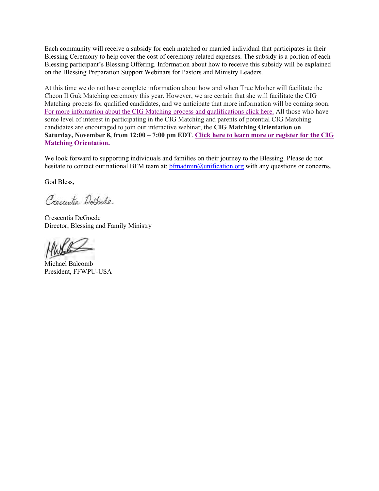Each community will receive a subsidy for each matched or married individual that participates in their Blessing Ceremony to help cover the cost of ceremony related expenses. The subsidy is a portion of each Blessing participant's Blessing Offering. Information about how to receive this subsidy will be explained on the Blessing Preparation Support Webinars for Pastors and Ministry Leaders.

At this time we do not have complete information about how and when True Mother will facilitate the Cheon Il Guk Matching ceremony this year. However, we are certain that she will facilitate the CIG Matching process for qualified candidates, and we anticipate that more information will be coming soon. For more information about the CIG Matching process and qualifications click here. All those who have some level of interest in participating in the CIG Matching and parents of potential CIG Matching candidates are encouraged to join our interactive webinar, the **CIG Matching Orientation on Saturday, November 8, from 12:00 – 7:00 pm EDT**. **Click here to learn more or register for the CIG Matching Orientation.**

We look forward to supporting individuals and families on their journey to the Blessing. Please do not hesitate to contact our national BFM team at: bfmadmin@unification.org with any questions or concerns.

God Bless,

Crescentia Defecde

Crescentia DeGoede Director, Blessing and Family Ministry

Michael Balcomb President, FFWPU-USA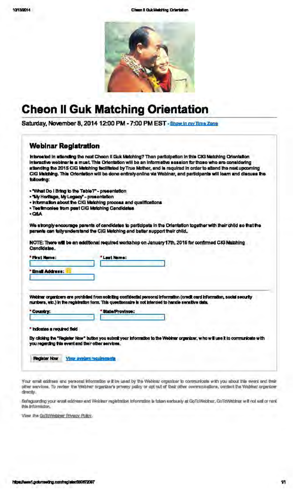Chem I Guickleiding Orlentation



# **Cheon II Guk Matching Orientation**

Saturday, November 8, 2014 12:00 PM - 7:00 PM EST - Show in my Time Zone

# **Webinar Registration** Interseted in attending the next Chean II Guk Matching? Then participation in this CIG Matching Orientation Interactive weblinar is a must. This Orientation will be an informative session for those who are considering attending the 2015 CIG Matching facilitated by True Mother, and is required in order to attend the next upcoming CKS Matching. This Orientation will be done entirely online via Wabiner, and participants will learn and discuss the tollowing: . What Do I Bring to the Table?" - presentation . Wy Heritage, My Legacy" - presentation . Information about the CIG Matching process and qualifications - Teetimoniee from past CIG Matching Cendidates +Q&A We strongly encourage parents of candidates to participate in the Orientation together with their child so that the parents can tully understand the CIG Metching and better support their child. NOTE: There will be an additional required workshop on January 17th, 2015 for confirmed CIG Matching Candidates. "First Name: **Last Name: Email Address:** Webinar organizers are prohibited from soliciting confidential personal information (credit card information, social security numbers, etc.) in the registration form. This questionnaire is not intended to handle sensitive data. Country: State/Province: " indicates a required field

By clicking the "Register Now" button you submit your information to the Webinar organizer, who will use it to communicate with you regerding this event and their other services.

**Register Now Year evalers requirements** 

Your email existees and personal information will be used by the Webinar organizer to communicate with you about this event and their other services. To review the Webher organizer's privecy policy or opt out of their other communications, contect the Webhar organizer directiv.

Bafeguarding your enail eddress and Weblear registration information is falsen nerlocally at GoToWeblnar. GoToWeblnar will not wall or rent. this information.

View the GoToWebloar Priveov Pulky.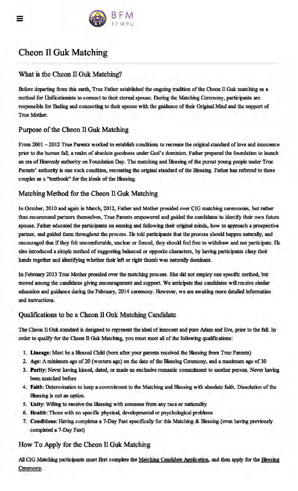

# Cheon 11 Guk Matching

## What is the Cheon Il Guk Matching?

Before departing from this earth, True Father established the ongoing tradition of the Cheon Il Guk matching as a method for Unificationists to connect to their eternal spouse. During the Matching Ceremony, participants are responsible for finding and connecting to their spouse with the guidance of their Original Mind and the support of True Mother.

## Purpose of the Cheon 11 Guk: Matching

From 2001 - 2012 True Parents worked to establish conditions to recreate the original standard of love and innocence prior to the human fall, a realm of absolute goodness under God's dominion. Father prepared the foundation to launch an era of Heavenly authority on Foundation Day. The matching and Blessing of the purest young people under True Parents' authority is one such condition, recreating the original standard of the Blessing. Father has referred to these couples as a "textbook" for the ideals of the Blessing.

# Matching Method for the Cheon 11 Guk: Matching

In October, 2010 and again in March, 2012, Father and Mother presided over CIG matching ceremonies, but rather than recommend partners themselves, True Parents empowered and guided the candidates to identify their own future spouse. Father educated the participants on sensing and following their original minds, how to approach a prospective partner, and guided them throughout the process. He tokl participants that the process should happen naturally, and encouraged that if they feh uncomfortable, unclear or forced, they shoukl feel free to withdraw and not participate. He also introduced a simple method of suggesting balanced or opposite characters, by having participants clasp their hands together and identifying whether their left or right thumb was naturally dominant.

In February 2013 True Mother presided over the matching process. She did not employ one specific method, but moved among the candidates giving encouragement and support. We anticipate that candidates will receive similar education and guidance during the February, 2014 ceremony. However, we are awaiting more detailed information and instructions.

## Qualifications to be a Cheon 11 Guk Matching Candidate

The Cheon II Ouk standard is designed to represent the ideal of innocent and pure Adam and Eve, prior to the fall. In order to qualify for the Cheon Il Guk Matching, you must meet all of the following qualifications:

- 1. Lineage: Must be a Blessed Child (born after your parents received the Blessing from True Parents)
- 2. Age: A minimum age of 20 (western age) on the date of the Blessing Ceremony, and a maximum age of 30
- 3. Purity: Never having kissed, dated, or made an exclusive romantic commitment to another person. Never having been matched before
- 4. Faith: Determination to keep a commitment to the Matching and Blessing with absolute faith. Dissolution of the Blessing is not an option.
- *5.* Unity: Willing to receive the Blessing with someone from any race or nationality
- 6. Health: Those with no specific physical, developmental or psychological problems
- 7. Conditions: Having completes a 7-Day Fast specifically for this Matching & Blessing (even having previously completed a 7-Day Fast)

## How To Apply for the Cheon 11 Ouk Matching

All CIG Matching participants must first complete the Matching Candidate Application, and then apply for the Blessing Ceremony.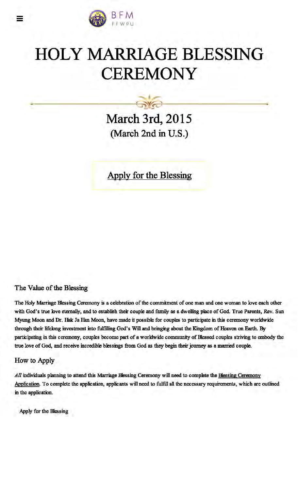

# HOLY MARRIAGE BLESSING **CEREMONY**

**March 3rd, 2015**  (March 2nd in U.S.)

 $\sqrt{2}$ 

Apply for the Blessing

## The Value of the Blessing

The Holy Marriage Blessing Ceremony is a celebration of the commitment of one man and one woman to love each other with God's true love eternally, and to establish their couple and family as a dwelling place of God. True Parents, Rev. Sun Myung Moon and Dr. Hak Ja Han Moon, have made it possible for couples to participate in this ceremony worldwide through their lifelong investment into fulfilling God's Will and bringing about the Kingdom of Heaven on Earth. By participating in this ceremony, couples become part of a worldwide community of Blessed couples striving to embody the true love of God, and receive incredible blessings from God as they begin their journey as a married couple.

### How to Apply

All individuals planning to attend this Marriage Blessing Ceremony will need to complete the Blessing Ceremony Application. To complete the application, applicants will need to fulfill all the necessary requirements, which are outlined in the application.

Apply for the Blessing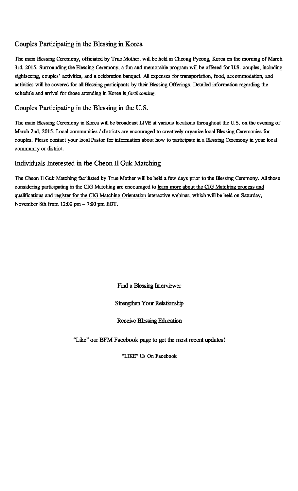## Couples Participating in the Blessing in Korea

The main Blessing Ceremony, officiated by True Mother, will be held in Cheong Pyeong, Korea on the morning of March 3rd, 2015. Surrounding the Blessing Ceremony, a fun and memorable program will be offered for U.S. couples, including sightseeing, couples' activities, and a celebration banquet. All expenses for transportation, food, accommodation, and activities will be covered for all Blessing participants by their Blessing Offerings. Detailed information regarding the schedule and arrival for those attending in Korea is *forthcoming.* 

## Couples Participating in the Blessing in the U.S.

The main Blessing Ceremony in Korea will be broadcast LIVE at various locations throughout the U.S. on the evening of March 2nd, 2015. Local communities / districts are encouraged to creatively organize local Blessing Ceremonies for couples. Please contact your local Pastor for information about how to participate in a Blessing Ceremony in your local community or district.

### Individuals Interested in the Cheon 11 Guk Matching

The Cheon II Guk Matching facilitated by True Mother will be held a few days prior to the Blessing Ceremony. All those considering participating in the CIG Matching are encouraged to learn more about the CIG Matching process and qualifications and register for the CIG Matching Orientation interactive webinar, which will be held on Saturday, November 8th from 12:00 pm- 7:00 pm EDT.

Find a Blessing Interviewer

### Strengthen Your Relationship

### Receive Blessing Education

"Like" our BFM Facebook page to get the most recent updates!

"LIKE" Us On Facebook